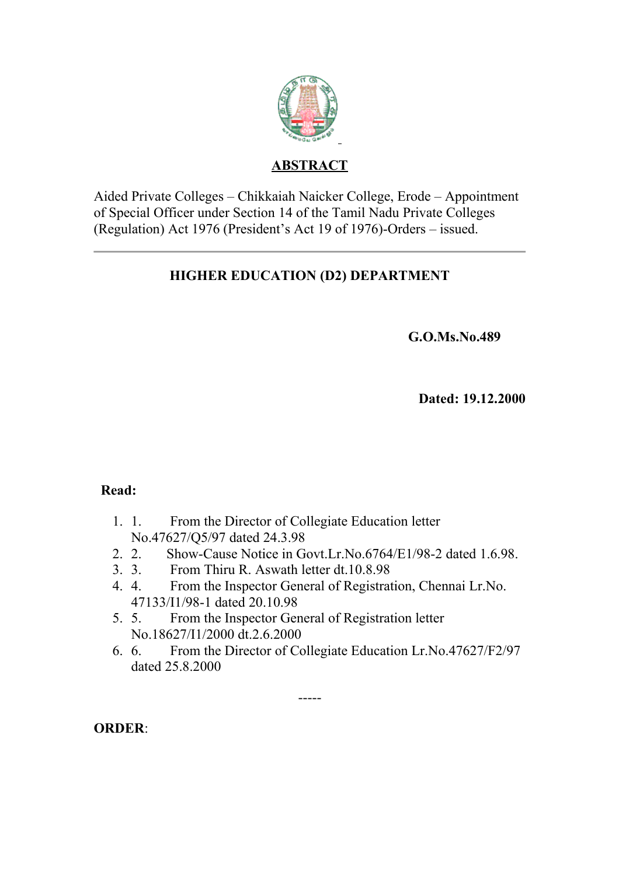

## **ABSTRACT**

Aided Private Colleges – Chikkaiah Naicker College, Erode – Appointment of Special Officer under Section 14 of the Tamil Nadu Private Colleges (Regulation) Act 1976 (President's Act 19 of 1976)-Orders – issued.

# **HIGHER EDUCATION (D2) DEPARTMENT**

**G.O.Ms.No.489**

 **Dated: 19.12.2000**

### **Read:**

- 1. 1. From the Director of Collegiate Education letter No.47627/Q5/97 dated 24.3.98
- 2. 2. Show-Cause Notice in Govt.Lr.No.6764/E1/98-2 dated 1.6.98.
- 3. 3. From Thiru R. Aswath letter dt.10.8.98
- 4. 4. From the Inspector General of Registration, Chennai Lr.No. 47133/I1/98-1 dated 20.10.98
- 5. 5. From the Inspector General of Registration letter No.18627/I1/2000 dt.2.6.2000
- 6. 6. From the Director of Collegiate Education Lr.No.47627/F2/97 dated 25.8.2000

-----

**ORDER**: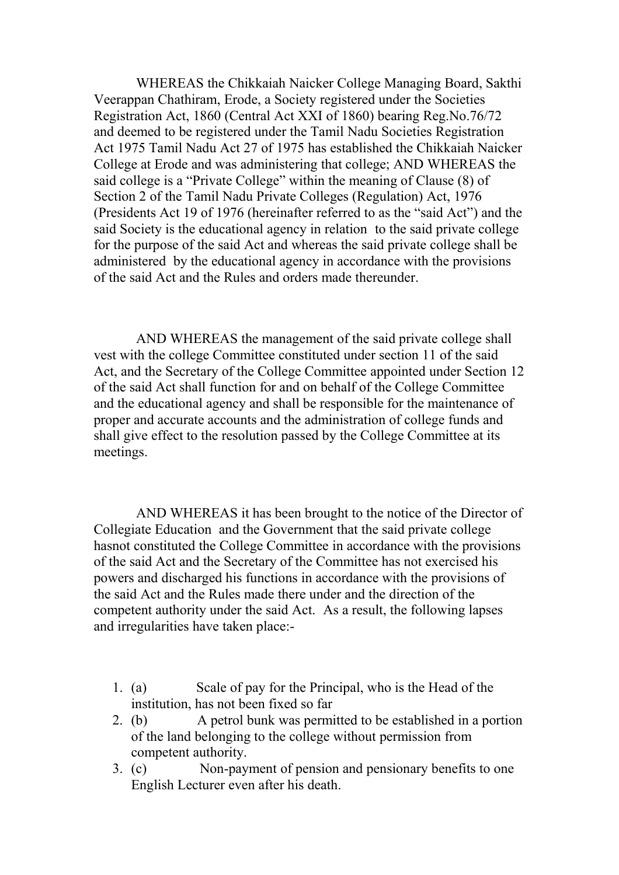WHEREAS the Chikkaiah Naicker College Managing Board, Sakthi Veerappan Chathiram, Erode, a Society registered under the Societies Registration Act, 1860 (Central Act XXI of 1860) bearing Reg.No.76/72 and deemed to be registered under the Tamil Nadu Societies Registration Act 1975 Tamil Nadu Act 27 of 1975 has established the Chikkaiah Naicker College at Erode and was administering that college; AND WHEREAS the said college is a "Private College" within the meaning of Clause (8) of Section 2 of the Tamil Nadu Private Colleges (Regulation) Act, 1976 (Presidents Act 19 of 1976 (hereinafter referred to as the "said Act") and the said Society is the educational agency in relation to the said private college for the purpose of the said Act and whereas the said private college shall be administered by the educational agency in accordance with the provisions of the said Act and the Rules and orders made thereunder.

 AND WHEREAS the management of the said private college shall vest with the college Committee constituted under section 11 of the said Act, and the Secretary of the College Committee appointed under Section 12 of the said Act shall function for and on behalf of the College Committee and the educational agency and shall be responsible for the maintenance of proper and accurate accounts and the administration of college funds and shall give effect to the resolution passed by the College Committee at its meetings.

 AND WHEREAS it has been brought to the notice of the Director of Collegiate Education and the Government that the said private college hasnot constituted the College Committee in accordance with the provisions of the said Act and the Secretary of the Committee has not exercised his powers and discharged his functions in accordance with the provisions of the said Act and the Rules made there under and the direction of the competent authority under the said Act. As a result, the following lapses and irregularities have taken place:-

- 1. (a) Scale of pay for the Principal, who is the Head of the institution, has not been fixed so far
- 2. (b) A petrol bunk was permitted to be established in a portion of the land belonging to the college without permission from competent authority.
- 3. (c) Non-payment of pension and pensionary benefits to one English Lecturer even after his death.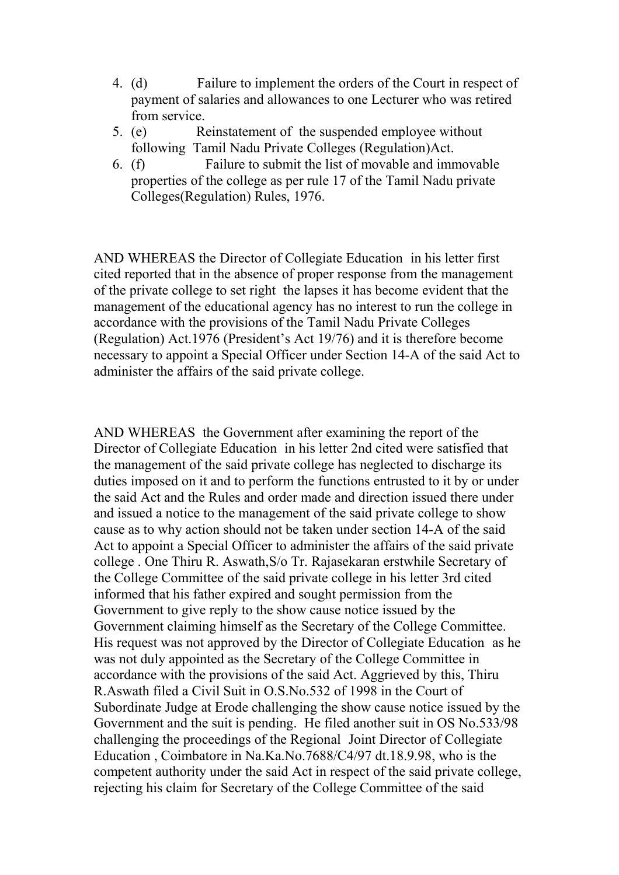- 4. (d) Failure to implement the orders of the Court in respect of payment of salaries and allowances to one Lecturer who was retired from service.
- 5. (e) Reinstatement of the suspended employee without following Tamil Nadu Private Colleges (Regulation)Act.
- 6. (f) Failure to submit the list of movable and immovable properties of the college as per rule 17 of the Tamil Nadu private Colleges(Regulation) Rules, 1976.

AND WHEREAS the Director of Collegiate Education in his letter first cited reported that in the absence of proper response from the management of the private college to set right the lapses it has become evident that the management of the educational agency has no interest to run the college in accordance with the provisions of the Tamil Nadu Private Colleges (Regulation) Act.1976 (President's Act 19/76) and it is therefore become necessary to appoint a Special Officer under Section 14-A of the said Act to administer the affairs of the said private college.

AND WHEREAS the Government after examining the report of the Director of Collegiate Education in his letter 2nd cited were satisfied that the management of the said private college has neglected to discharge its duties imposed on it and to perform the functions entrusted to it by or under the said Act and the Rules and order made and direction issued there under and issued a notice to the management of the said private college to show cause as to why action should not be taken under section 14-A of the said Act to appoint a Special Officer to administer the affairs of the said private college . One Thiru R. Aswath,S/o Tr. Rajasekaran erstwhile Secretary of the College Committee of the said private college in his letter 3rd cited informed that his father expired and sought permission from the Government to give reply to the show cause notice issued by the Government claiming himself as the Secretary of the College Committee. His request was not approved by the Director of Collegiate Education as he was not duly appointed as the Secretary of the College Committee in accordance with the provisions of the said Act. Aggrieved by this, Thiru R.Aswath filed a Civil Suit in O.S.No.532 of 1998 in the Court of Subordinate Judge at Erode challenging the show cause notice issued by the Government and the suit is pending. He filed another suit in OS No.533/98 challenging the proceedings of the Regional Joint Director of Collegiate Education , Coimbatore in Na.Ka.No.7688/C4/97 dt.18.9.98, who is the competent authority under the said Act in respect of the said private college, rejecting his claim for Secretary of the College Committee of the said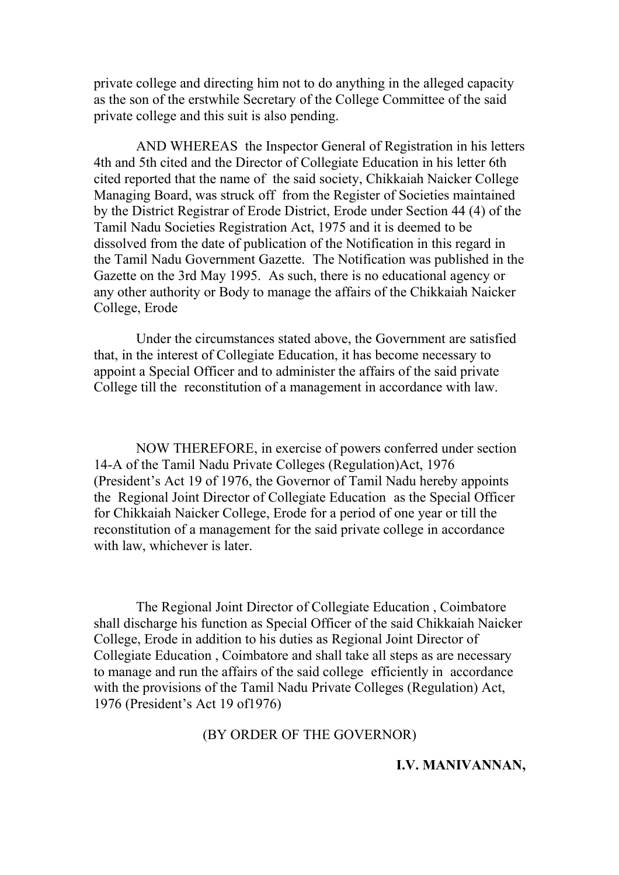private college and directing him not to do anything in the alleged capacity as the son of the erstwhile Secretary of the College Committee of the said private college and this suit is also pending.

 AND WHEREAS the Inspector General of Registration in his letters 4th and 5th cited and the Director of Collegiate Education in his letter 6th cited reported that the name of the said society, Chikkaiah Naicker College Managing Board, was struck off from the Register of Societies maintained by the District Registrar of Erode District, Erode under Section 44 (4) of the Tamil Nadu Societies Registration Act, 1975 and it is deemed to be dissolved from the date of publication of the Notification in this regard in the Tamil Nadu Government Gazette. The Notification was published in the Gazette on the 3rd May 1995. As such, there is no educational agency or any other authority or Body to manage the affairs of the Chikkaiah Naicker College, Erode

 Under the circumstances stated above, the Government are satisfied that, in the interest of Collegiate Education, it has become necessary to appoint a Special Officer and to administer the affairs of the said private College till the reconstitution of a management in accordance with law.

 NOW THEREFORE, in exercise of powers conferred under section 14-A of the Tamil Nadu Private Colleges (Regulation)Act, 1976 (President's Act 19 of 1976, the Governor of Tamil Nadu hereby appoints the Regional Joint Director of Collegiate Education as the Special Officer for Chikkaiah Naicker College, Erode for a period of one year or till the reconstitution of a management for the said private college in accordance with law, whichever is later.

 The Regional Joint Director of Collegiate Education , Coimbatore shall discharge his function as Special Officer of the said Chikkaiah Naicker College, Erode in addition to his duties as Regional Joint Director of Collegiate Education , Coimbatore and shall take all steps as are necessary to manage and run the affairs of the said college efficiently in accordance with the provisions of the Tamil Nadu Private Colleges (Regulation) Act, 1976 (President's Act 19 of1976)

#### (BY ORDER OF THE GOVERNOR)

#### **I.V. MANIVANNAN,**